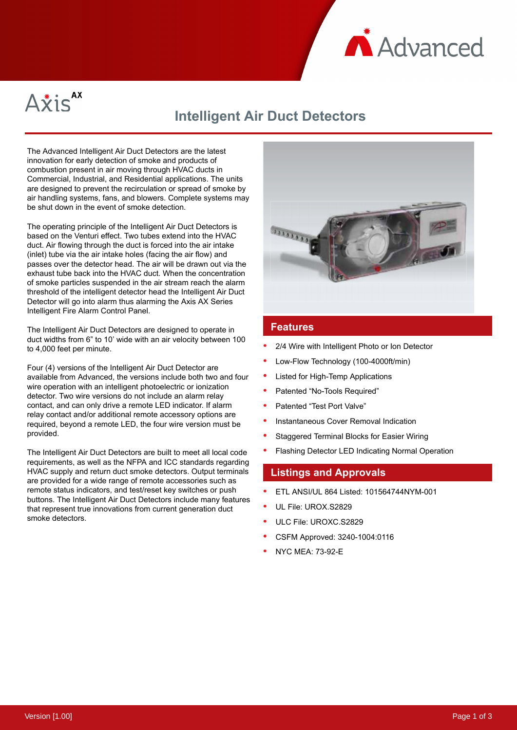



# **Intelligent Air Duct Detectors**

The Advanced Intelligent Air Duct Detectors are the latest innovation for early detection of smoke and products of combustion present in air moving through HVAC ducts in Commercial, Industrial, and Residential applications. The units are designed to prevent the recirculation or spread of smoke by air handling systems, fans, and blowers. Complete systems may be shut down in the event of smoke detection.

The operating principle of the Intelligent Air Duct Detectors is based on the Venturi effect. Two tubes extend into the HVAC duct. Air flowing through the duct is forced into the air intake (inlet) tube via the air intake holes (facing the air flow) and passes over the detector head. The air will be drawn out via the exhaust tube back into the HVAC duct. When the concentration of smoke particles suspended in the air stream reach the alarm threshold of the intelligent detector head the Intelligent Air Duct Detector will go into alarm thus alarming the Axis AX Series Intelligent Fire Alarm Control Panel.

The Intelligent Air Duct Detectors are designed to operate in duct widths from 6" to 10' wide with an air velocity between 100 to 4,000 feet per minute.

Four (4) versions of the Intelligent Air Duct Detector are available from Advanced, the versions include both two and four wire operation with an intelligent photoelectric or ionization detector. Two wire versions do not include an alarm relay contact, and can only drive a remote LED indicator. If alarm relay contact and/or additional remote accessory options are required, beyond a remote LED, the four wire version must be provided.

The Intelligent Air Duct Detectors are built to meet all local code requirements, as well as the NFPA and ICC standards regarding HVAC supply and return duct smoke detectors. Output terminals are provided for a wide range of remote accessories such as remote status indicators, and test/reset key switches or push buttons. The Intelligent Air Duct Detectors include many features that represent true innovations from current generation duct smoke detectors.



## **Features**

- 2/4 Wire with Intelligent Photo or Ion Detector
- Low-Flow Technology (100-4000ft/min)
- Listed for High-Temp Applications
- Patented "No-Tools Required"
- Patented "Test Port Valve"
- Instantaneous Cover Removal Indication
- Staggered Terminal Blocks for Easier Wiring
- Flashing Detector LED Indicating Normal Operation

### **Listings and Approvals**

- ETL ANSI/UL 864 Listed: 101564744NYM-001
- UL File: UROX.S2829
- ULC File: UROXC.S2829
- CSFM Approved: 3240-1004:0116
- NYC MEA: 73-92-E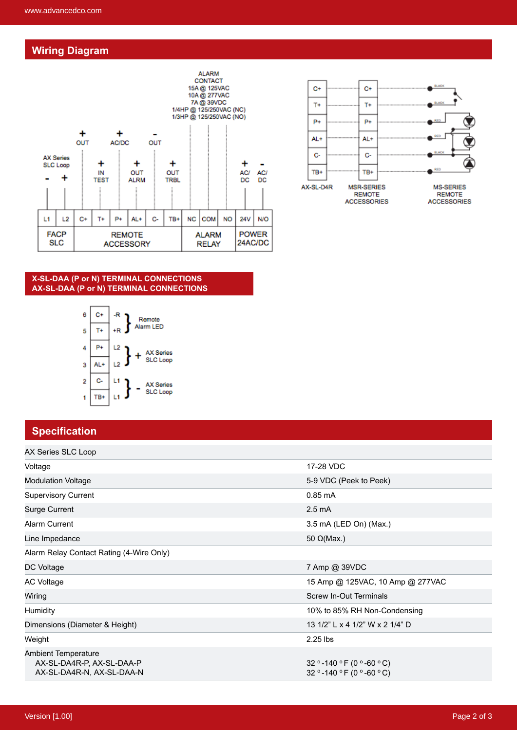# **Wiring Diagram**





#### **X-SL-DAA (P or N) TERMINAL CONNECTIONS AX-SL-DAA (P or N) TERMINAL CONNECTIONS**



# **Specification**

| AX Series SLC Loop                                                                   |                                                          |
|--------------------------------------------------------------------------------------|----------------------------------------------------------|
| Voltage                                                                              | 17-28 VDC                                                |
| <b>Modulation Voltage</b>                                                            | 5-9 VDC (Peek to Peek)                                   |
| <b>Supervisory Current</b>                                                           | $0.85 \text{ mA}$                                        |
| <b>Surge Current</b>                                                                 | $2.5 \text{ mA}$                                         |
| Alarm Current                                                                        | 3.5 mA (LED On) (Max.)                                   |
| Line Impedance                                                                       | 50 $\Omega$ (Max.)                                       |
| Alarm Relay Contact Rating (4-Wire Only)                                             |                                                          |
| DC Voltage                                                                           | 7 Amp @ 39VDC                                            |
| AC Voltage                                                                           | 15 Amp @ 125VAC, 10 Amp @ 277VAC                         |
| Wiring                                                                               | <b>Screw In-Out Terminals</b>                            |
| Humidity                                                                             | 10% to 85% RH Non-Condensing                             |
| Dimensions (Diameter & Height)                                                       | 13 1/2" L x 4 1/2" W x 2 1/4" D                          |
| Weight                                                                               | $2.25$ lbs                                               |
| <b>Ambient Temperature</b><br>AX-SL-DA4R-P, AX-SL-DAA-P<br>AX-SL-DA4R-N, AX-SL-DAA-N | 32 ° -140 ° F (0 ° -60 ° C)<br>32 ° -140 °F (0 ° -60 °C) |